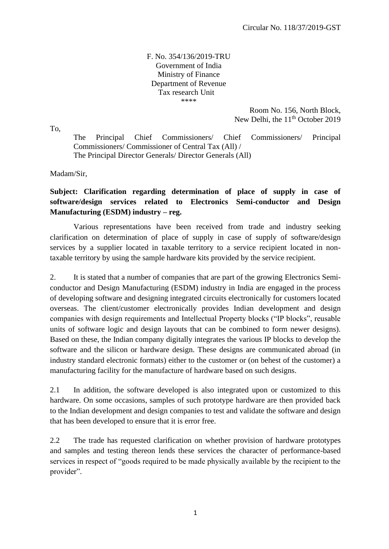## F. No. 354/136/2019-TRU Government of India Ministry of Finance Department of Revenue Tax research Unit \*\*\*\*

Room No. 156, North Block, New Delhi, the 11<sup>th</sup> October 2019

To,

The Principal Chief Commissioners/ Chief Commissioners/ Principal Commissioners/ Commissioner of Central Tax (All) / The Principal Director Generals/ Director Generals (All)

Madam/Sir,

## **Subject: Clarification regarding determination of place of supply in case of software/design services related to Electronics Semi-conductor and Design Manufacturing (ESDM) industry – reg.**

Various representations have been received from trade and industry seeking clarification on determination of place of supply in case of supply of software/design services by a supplier located in taxable territory to a service recipient located in nontaxable territory by using the sample hardware kits provided by the service recipient.

2. It is stated that a number of companies that are part of the growing Electronics Semiconductor and Design Manufacturing (ESDM) industry in India are engaged in the process of developing software and designing integrated circuits electronically for customers located overseas. The client/customer electronically provides Indian development and design companies with design requirements and Intellectual Property blocks ("IP blocks", reusable units of software logic and design layouts that can be combined to form newer designs). Based on these, the Indian company digitally integrates the various IP blocks to develop the software and the silicon or hardware design. These designs are communicated abroad (in industry standard electronic formats) either to the customer or (on behest of the customer) a manufacturing facility for the manufacture of hardware based on such designs.

2.1 In addition, the software developed is also integrated upon or customized to this hardware. On some occasions, samples of such prototype hardware are then provided back to the Indian development and design companies to test and validate the software and design that has been developed to ensure that it is error free.

2.2 The trade has requested clarification on whether provision of hardware prototypes and samples and testing thereon lends these services the character of performance-based services in respect of "goods required to be made physically available by the recipient to the provider".